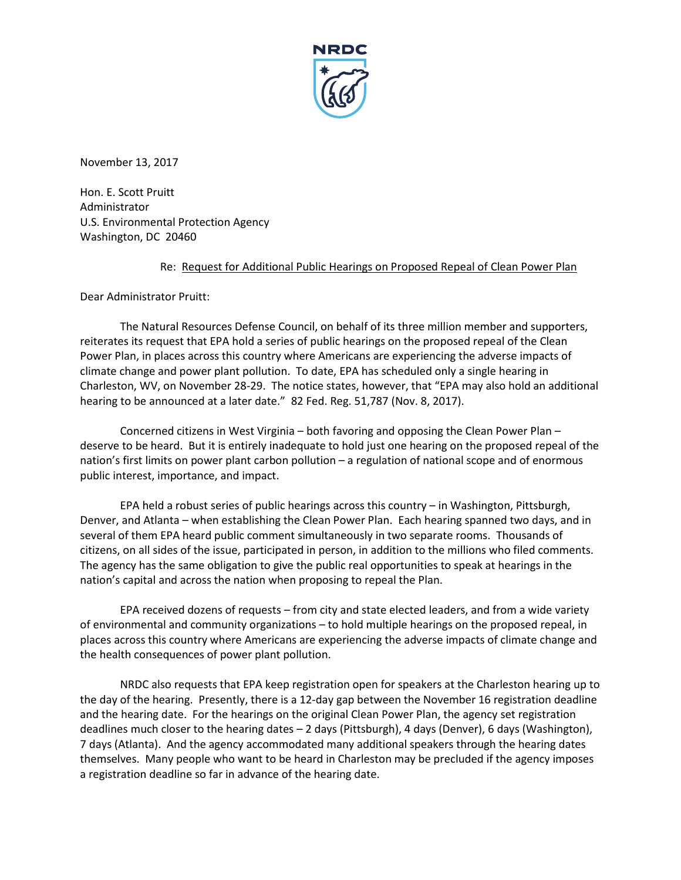

November 13, 2017

Hon. E. Scott Pruitt Administrator U.S. Environmental Protection Agency Washington, DC 20460

## Re: Request for Additional Public Hearings on Proposed Repeal of Clean Power Plan

Dear Administrator Pruitt:

The Natural Resources Defense Council, on behalf of its three million member and supporters, reiterates its request that EPA hold a series of public hearings on the proposed repeal of the Clean Power Plan, in places across this country where Americans are experiencing the adverse impacts of climate change and power plant pollution. To date, EPA has scheduled only a single hearing in Charleston, WV, on November 28-29. The notice states, however, that "EPA may also hold an additional hearing to be announced at a later date." 82 Fed. Reg. 51,787 (Nov. 8, 2017).

Concerned citizens in West Virginia – both favoring and opposing the Clean Power Plan – deserve to be heard. But it is entirely inadequate to hold just one hearing on the proposed repeal of the nation's first limits on power plant carbon pollution – a regulation of national scope and of enormous public interest, importance, and impact.

EPA held a robust series of public hearings across this country – in Washington, Pittsburgh, Denver, and Atlanta – when establishing the Clean Power Plan. Each hearing spanned two days, and in several of them EPA heard public comment simultaneously in two separate rooms. Thousands of citizens, on all sides of the issue, participated in person, in addition to the millions who filed comments. The agency has the same obligation to give the public real opportunities to speak at hearings in the nation's capital and across the nation when proposing to repeal the Plan.

EPA received dozens of requests – from city and state elected leaders, and from a wide variety of environmental and community organizations – to hold multiple hearings on the proposed repeal, in places across this country where Americans are experiencing the adverse impacts of climate change and the health consequences of power plant pollution.

NRDC also requests that EPA keep registration open for speakers at the Charleston hearing up to the day of the hearing. Presently, there is a 12-day gap between the November 16 registration deadline and the hearing date. For the hearings on the original Clean Power Plan, the agency set registration deadlines much closer to the hearing dates – 2 days (Pittsburgh), 4 days (Denver), 6 days (Washington), 7 days (Atlanta). And the agency accommodated many additional speakers through the hearing dates themselves. Many people who want to be heard in Charleston may be precluded if the agency imposes a registration deadline so far in advance of the hearing date.